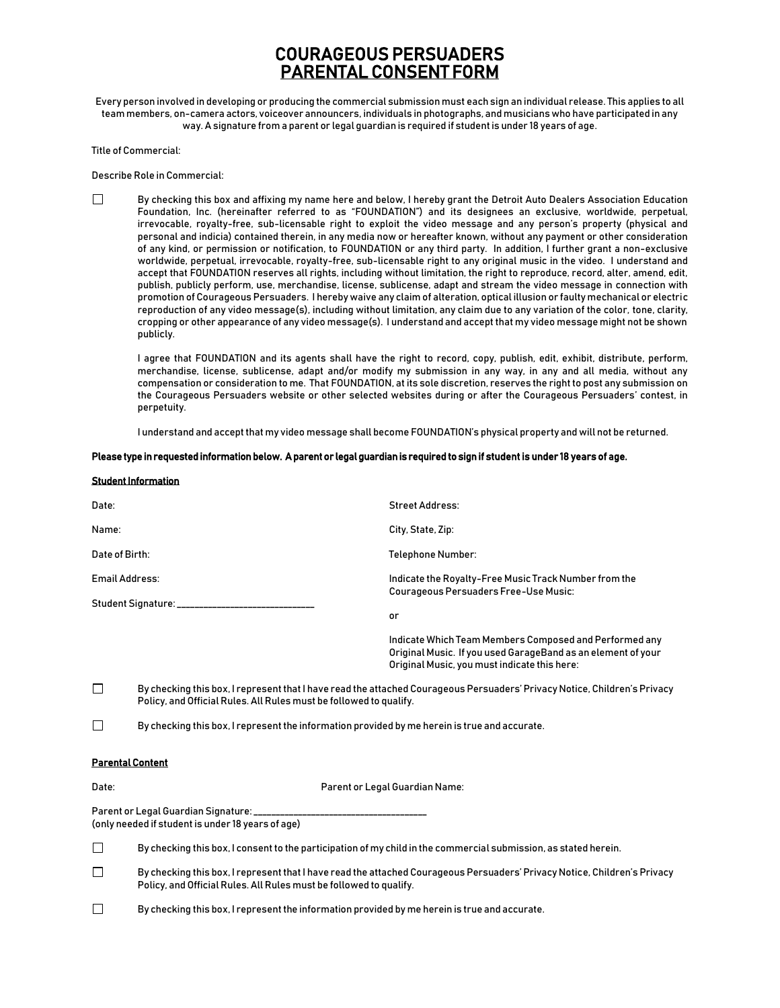# COURAGEOUS PERSUADERS PARENTAL CONSENT FORM

Every person involved in developing or producing the commercial submission must each sign an individual release. This applies to all team members, on-camera actors, voiceover announcers, individuals in photographs, and musicians who have participated in any way. A signature from a parent or legal guardian is required if student is under 18 years of age.

Title of Commercial:

Describe Role in Commercial:

|  | By checking this box and affixing my name here and below, I hereby grant the Detroit Auto Dealers Association Education         |
|--|---------------------------------------------------------------------------------------------------------------------------------|
|  | Foundation, Inc. (hereinafter referred to as "FOUNDATION") and its designees an exclusive, worldwide, perpetual,                |
|  | irrevocable, royalty-free, sub-licensable right to exploit the video message and any person's property (physical and            |
|  | personal and indicia) contained therein, in any media now or hereafter known, without any payment or other consideration        |
|  | of any kind, or permission or notification, to FOUNDATION or any third party. In addition, I further grant a non-exclusive      |
|  | worldwide, perpetual, irrevocable, royalty-free, sub-licensable right to any original music in the video. I understand and      |
|  | accept that FOUNDATION reserves all rights, including without limitation, the right to reproduce, record, alter, amend, edit,   |
|  | publish, publicly perform, use, merchandise, license, sublicense, adapt and stream the video message in connection with         |
|  | promotion of Courageous Persuaders. I hereby waive any claim of alteration, optical illusion or faulty mechanical or electric   |
|  | reproduction of any video message(s), including without limitation, any claim due to any variation of the color, tone, clarity, |
|  | cropping or other appearance of any video message(s). I understand and accept that my video message might not be shown          |
|  | publicly.                                                                                                                       |

I agree that FOUNDATION and its agents shall have the right to record, copy, publish, edit, exhibit, distribute, perform, merchandise, license, sublicense, adapt and/or modify my submission in any way, in any and all media, without any compensation or consideration to me. That FOUNDATION, at its sole discretion, reserves the right to post any submission on the Courageous Persuaders website or other selected websites during or after the Courageous Persuaders' contest, in perpetuity.

I understand and accept that my video message shall become FOUNDATION's physical property and will not be returned.

## Please type in requested information below. A parent or legal guardian is required to sign if student is under 18 years of age.

| <b>Student Information</b>       |                                                                                                                                                                                                 |  |  |
|----------------------------------|-------------------------------------------------------------------------------------------------------------------------------------------------------------------------------------------------|--|--|
| Date:                            | <b>Street Address:</b>                                                                                                                                                                          |  |  |
| Name:                            | City, State, Zip:                                                                                                                                                                               |  |  |
| Date of Birth:                   | <b>Telephone Number:</b>                                                                                                                                                                        |  |  |
| Email Address:                   | Indicate the Royalty-Free Music Track Number from the<br>Courageous Persuaders Free-Use Music:                                                                                                  |  |  |
| Student Signature: _____________ |                                                                                                                                                                                                 |  |  |
|                                  | or                                                                                                                                                                                              |  |  |
|                                  | Indicate Which Team Members Composed and Performed any<br>Original Music. If you used GarageBand as an element of your<br>Original Music, you must indicate this here:                          |  |  |
| П                                | By checking this box, I represent that I have read the attached Courageous Persuaders' Privacy Notice, Children's Privacy<br>Policy, and Official Rules. All Rules must be followed to qualify. |  |  |

 $\Box$ By checking this box, I represent the information provided by me herein is true and accurate.

## Parental Content

Date: Parent or Legal Guardian Name:

Parent or Legal Guardian Signature: (only needed if student is under 18 years of age)

 $\Box$ By checking this box, I consent to the participation of my child in the commercial submission, as stated herein.

 $\Box$ By checking this box, I represent that I have read the attached Courageous Persuaders' Privacy Notice, Children's Privacy Policy, and Official Rules. All Rules must be followed to qualify.

 $\Box$ By checking this box, I represent the information provided by me herein is true and accurate.